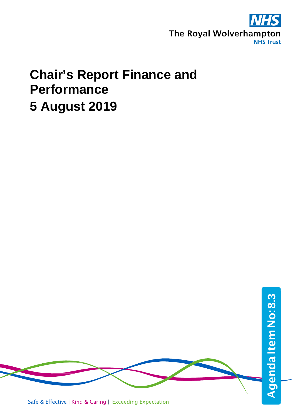

# **Chair's Report Finance and Performance 5 August 2019**

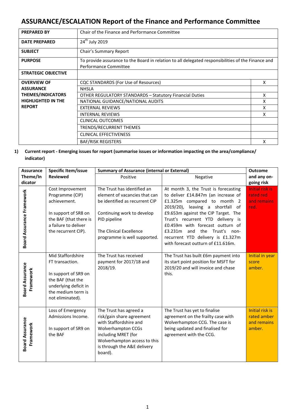## **ASSURANCE/ESCALATION Report of the Finance and Performance Committee**

| <b>PREPARED BY</b>         | Chair of the Finance and Performance Committee                                                                              |   |  |
|----------------------------|-----------------------------------------------------------------------------------------------------------------------------|---|--|
| <b>DATE PREPARED</b>       | 24 <sup>th</sup> July 2019                                                                                                  |   |  |
| <b>SUBJECT</b>             | Chair's Summary Report                                                                                                      |   |  |
| <b>PURPOSE</b>             | To provide assurance to the Board in relation to all delegated responsibilities of the Finance and<br>Performance Committee |   |  |
| <b>STRATEGIC OBJECTIVE</b> |                                                                                                                             |   |  |
| <b>OVERVIEW OF</b>         | CQC STANDARDS (For Use of Resources)                                                                                        | X |  |
| <b>ASSURANCE</b>           | <b>NHSLA</b>                                                                                                                |   |  |
| <b>THEMES/INDICATORS</b>   | <b>OTHER REGULATORY STANDARDS - Statutory Financial Duties</b>                                                              | X |  |
| <b>HIGHLIGHTED IN THE</b>  | NATIONAL GUIDANCE/NATIONAL AUDITS                                                                                           | x |  |
| <b>REPORT</b>              | <b>EXTERNAL REVIEWS</b>                                                                                                     | x |  |
|                            | <b>INTERNAL REVIEWS</b>                                                                                                     | x |  |
|                            | <b>CLINICAL OUTCOMES</b>                                                                                                    |   |  |
|                            | TRENDS/RECURRENT THEMES                                                                                                     |   |  |
|                            | <b>CLINICAL EFFECTIVENESS</b>                                                                                               |   |  |
|                            | <b>BAF/RISK REGISTERS</b>                                                                                                   | x |  |

### **1) Current report - Emerging issues for report (summarise issues or information impacting on the area/compliance/ indicator)**

| <b>Assurance</b>                    | Specific Item/issue                                                                                                                                  | <b>Summary of Assurance (internal or External)</b>                                                                                                                                                      | <b>Outcome</b>                                                                                                                                                                                                                                                                                                                                                                     |                                                         |
|-------------------------------------|------------------------------------------------------------------------------------------------------------------------------------------------------|---------------------------------------------------------------------------------------------------------------------------------------------------------------------------------------------------------|------------------------------------------------------------------------------------------------------------------------------------------------------------------------------------------------------------------------------------------------------------------------------------------------------------------------------------------------------------------------------------|---------------------------------------------------------|
| Theme/In                            | <b>Reviewed</b>                                                                                                                                      | Positive                                                                                                                                                                                                | Negative                                                                                                                                                                                                                                                                                                                                                                           | and any on-                                             |
| dicator                             |                                                                                                                                                      |                                                                                                                                                                                                         |                                                                                                                                                                                                                                                                                                                                                                                    | going risk                                              |
| <b>Board Assurance Framework</b>    | Cost Improvement<br>Programme (CIP)<br>achievement.<br>In support of SR8 on<br>the BAF (that there is<br>a failure to deliver<br>the recurrent CIP). | The Trust has identified an<br>element of vacancies that can<br>be identified as recurrent CIP<br>Continuing work to develop<br>PID pipeline<br>The Clinical Excellence<br>programme is well supported. | At month 3, the Trust is forecasting<br>to deliver £14.847m (an increase of<br>£1.325m compared to month 2<br>2019/20), leaving a shortfall<br>of<br>£9.653m against the CIP Target. The<br>Trust's recurrent YTD delivery is<br>£0.459m with forecast outturn of<br>£3.231m<br>the Trust's non-<br>and<br>recurrent YTD delivery is £1.327m<br>with forecast outturn of £11.616m. | Initial risk is<br>rated red<br>and remains<br>red.     |
| <b>Board Assurance</b><br>Framework | Mid Staffordshire<br>FT transaction.<br>In support of SR9 on<br>the BAF (that the<br>underlying deficit in<br>the medium term is<br>not eliminated). | The Trust has received<br>payment for 2017/18 and<br>2018/19.                                                                                                                                           | The Trust has built £6m payment into<br>its start point position for MSFT for<br>2019/20 and will invoice and chase<br>this.                                                                                                                                                                                                                                                       | Initial in year<br>score<br>amber.                      |
| <b>Board Assurance</b><br>Framework | Loss of Emergency<br>Admissions Income.<br>In support of SR9 on<br>the BAF                                                                           | The Trust has agreed a<br>risk/gain share agreement<br>with Staffordshire and<br>Wolverhampton CCGs<br>including MRET (for<br>Wolverhampton access to this<br>is through the A&E delivery<br>board).    | The Trust has yet to finalise<br>agreement on the frailty case with<br>Wolverhampton CCG. The case is<br>being updated and finalised for<br>agreement with the CCG.                                                                                                                                                                                                                | Initial risk is<br>rated amber<br>and remains<br>amber. |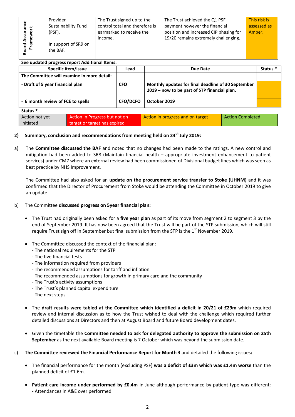| ω             | Provider             | The Trust signed up to the     | The Trust achieved the Q1 PSF          | This risk is |
|---------------|----------------------|--------------------------------|----------------------------------------|--------------|
| 들 중           | Sustainability Fund  | control total and therefore is | payment however the financial          | assessed as  |
|               | (PSF).               | earmarked to receive the       | position and increased CIP phasing for | Amber.       |
| Assur<br>mewo |                      | income.                        | 19/20 remains extremely challenging.   |              |
|               | In support of SR9 on |                                |                                        |              |
| pard<br>Frai  | the BAF.             |                                |                                        |              |
|               |                      |                                |                                        |              |

#### **See updated progress report Additional Items:**

| Specific item/Issue                        | Lead            | Due Date                                                                                           | Status <sup>*</sup> |
|--------------------------------------------|-----------------|----------------------------------------------------------------------------------------------------|---------------------|
| The Committee will examine in more detail: |                 |                                                                                                    |                     |
| - Draft of 5 year financial plan           | <b>CFO</b>      | Monthly updates for final deadline of 30 September<br>2019 - now to be part of STP financial plan. |                     |
| - 6 month review of FCE to spells          | <b>CFO/DCFO</b> | October 2019                                                                                       |                     |
| Status <sup>*</sup>                        |                 |                                                                                                    |                     |

| Action not yet | Action In Progress but not on | Action in progress and on target | <b>Action Completed</b> |
|----------------|-------------------------------|----------------------------------|-------------------------|
| initiated      | target or target has expired  |                                  |                         |

#### **2) Summary, conclusion and recommendations from meeting held on 24th July 2019:**

a) The **Committee discussed the BAF** and noted that no changes had been made to the ratings. A new control and mitigation had been added to SR8 (Maintain financial health – appropriate investment enhancement to patient services) under CM7 where an external review had been commissioned of Divisional budget lines which was seen as best practice by NHS Improvement.

The Committee had also asked for an **update on the procurement service transfer to Stoke (UHNM)** and it was confirmed that the Director of Procurement from Stoke would be attending the Committee in October 2019 to give an update.

#### b) The Committee **discussed progress on 5year financial plan:**

- The Trust had originally been asked for a **five year plan** as part of its move from segment 2 to segment 3 by the end of September 2019. It has now been agreed that the Trust will be part of the STP submission, which will still require Trust sign off in September but final submission from the STP is the  $1<sup>st</sup>$  November 2019.
- The Committee discussed the context of the financial plan:
	- The national requirements for the STP
	- The five financial tests
	- The information required from providers
	- The recommended assumptions for tariff and inflation
	- The recommended assumptions for growth in primary care and the community
	- The Trust's activity assumptions
	- The Trust's planned capital expenditure
	- The next steps
- The **draft results were tabled at the Committee which identified a deficit in 20/21 of £29m** which required review and internal discussion as to how the Trust wished to deal with the challenge which required further detailed discussions at Directors and then at August Board and future Board development dates.
- Given the timetable the **Committee needed to ask for delegated authority to approve the submission on 25th September** as the next available Board meeting is 7 October which was beyond the submission date.
- c) **The Committee reviewed the Financial Performance Report for Month 3** and detailed the following issues**:**
	- The financial performance for the month (excluding PSF) **was a deficit of £3m which was £1.4m worse** than the planned deficit of £1.6m.
	- **Patient care income under performed by £0.4m** in June although performance by patient type was different: - Attendances in A&E over performed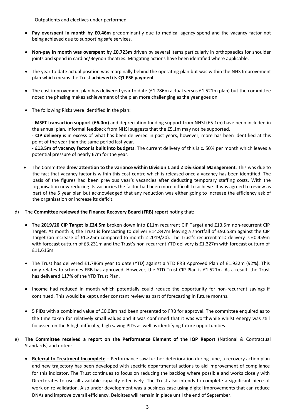- Outpatients and electives under performed.

- **Pay overspent in month by £0.46m** predominantly due to medical agency spend and the vacancy factor not being achieved due to supporting safe services.
- **Non-pay in month was overspent by £0.723m** driven by several items particularly in orthopaedics for shoulder joints and spend in cardiac/Beynon theatres. Mitigating actions have been identified where applicable.
- The year to date actual position was marginally behind the operating plan but was within the NHS Improvement plan which means the Trust **achieved its Q1 PSF payment**.
- The cost improvement plan has delivered year to date (£1.786m actual versus £1.521m plan) but the committee noted the phasing makes achievement of the plan more challenging as the year goes on.
- The following Risks were identified in the plan:

- **MSFT transaction support (£6.0m)** and depreciation funding support from NHSI (£5.1m) have been included in the annual plan. Informal feedback from NHSI suggests that the £5.1m may not be supported.

- **CIP delivery** is in excess of what has been delivered in past years, however, more has been identified at this point of the year than the same period last year.

- **£13.5m of vacancy factor is built into budgets**. The current delivery of this is c. 50% per month which leaves a potential pressure of nearly £7m for the year.

- The Committee **drew attention to the variance within Division 1 and 2 Divisional Management**. This was due to the fact that vacancy factor is within this cost centre which is released once a vacancy has been identified. The basis of the figures had been previous year's vacancies after deducting temporary staffing costs. With the organisation now reducing its vacancies the factor had been more difficult to achieve. It was agreed to review as part of the 5 year plan but acknowledged that any reduction was either going to increase the efficiency ask of the organisation or increase its deficit.
- d) The **Committee reviewed the Finance Recovery Board (FRB) report** noting that:
	- The **2019/20 CIP Target is £24.5m** broken down into £11m recurrent CIP Target and £13.5m non-recurrent CIP Target. At month 3, the Trust is forecasting to deliver £14.847m leaving a shortfall of £9.653m against the CIP Target (an increase of £1.325m compared to month 2 2019/20). The Trust's recurrent YTD delivery is £0.459m with forecast outturn of £3.231m and the Trust's non-recurrent YTD delivery is £1.327m with forecast outturn of £11.616m.
	- The Trust has delivered £1.786m year to date (YTD) against a YTD FRB Approved Plan of £1.932m (92%). This only relates to schemes FRB has approved. However, the YTD Trust CIP Plan is £1.521m. As a result, the Trust has delivered 117% of the YTD Trust Plan.
	- Income had reduced in month which potentially could reduce the opportunity for non-recurrent savings if continued. This would be kept under constant review as part of forecasting in future months.
	- 5 PIDs with a combined value of £0.08m had been presented to FRB for approval. The committee enquired as to the time taken for relatively small values and it was confirmed that it was worthwhile whilst energy was still focussed on the 6 high difficulty, high saving PIDs as well as identifying future opportunities.
- e) **The Committee received a report on the Performance Element of the IQP Report** (National & Contractual Standards) and noted:
	- **Referral to Treatment Incomplete** Performance saw further deterioration during June, a recovery action plan and new trajectory has been developed with specific departmental actions to aid improvement of compliance for this indicator. The Trust continues to focus on reducing the backlog where possible and works closely with Directorates to use all available capacity effectively. The Trust also intends to complete a significant piece of work on re-validation. Also under development was a business case using digital improvements that can reduce DNAs and improve overall efficiency. Deloittes will remain in place until the end of September.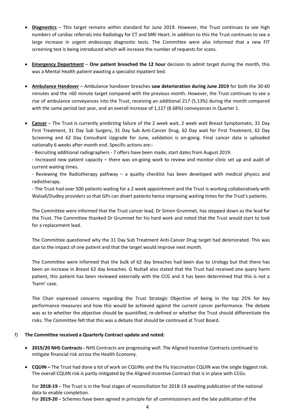- **Diagnostics** This target remains within standard for June 2019. However, the Trust continues to see high numbers of cardiac referrals into Radiology for CT and MRI Heart. In addition to this the Trust continues to see a large increase in urgent endoscopy diagnostic tests. The Committee were also informed that a new FIT screening test is being introduced which will increase the number of requests for scans.
- **Emergency Department One patient breached the 12 hour** decision to admit target during the month, this was a Mental Health patient awaiting a specialist inpatient bed.
- **Ambulance Handover** Ambulance handover breaches **saw deterioration during June 2019** for both the 30-60 minutes and the >60 minute target compared with the previous month. However, the Trust continues to see a rise of ambulance conveyances into the Trust, receiving an additional 217 (5.13%) during the month compared with the same period last year, and an overall increase of 1,127 (8.68%) conveyances in Quarter 1.
- **Cancer** The Trust is currently predicting failure of the 2 week wait, 2 week wait Breast Symptomatic, 31 Day First Treatment, 31 Day Sub Surgery, 31 Day Sub Anti-Cancer Drug, 62 Day wait for First Treatment, 62 Day Screening and 62 Day Consultant Upgrade for June, validation is on-going. Final cancer data is uploaded nationally 6 weeks after month end. Specific actions are:-

- Recruiting additional radiographers - 7 offers have been made, start dates from August 2019.

- Increased new patient capacity – there was on-going work to review and monitor clinic set up and audit of current waiting times.

- Reviewing the Radiotherapy pathway – a quality checklist has been developed with medical physics and radiotherapy.

- The Trust had over 500 patients waiting for a 2 week appointment and the Trust is working collaboratively with Walsall/Dudley providers so that GPs can divert patients hence improving waiting times for the Trust's patients.

The Committee were informed that the Trust cancer lead, Dr Simon Grummet, has stepped down as the lead for the Trust. The Committee thanked Dr Grummet for his hard work and noted that the Trust would start to look for a replacement lead.

The Committee questioned why the 31 Day Sub Treatment Anti-Cancer Drug target had deteriorated. This was due to the impact of one patient and that the target would improve next month.

The Committee were informed that the bulk of 62 day breaches had been due to Urology but that there has been an increase in Breast 62 day breaches. G Nuttall also stated that the Trust had received one query harm patient, this patient has been reviewed externally with the CCG and it has been determined that this is not a 'harm' case.

The Chair expressed concerns regarding the Trust Strategic Objective of being in the top 25% for key performance measures and how this would be achieved against the current cancer performance. The debate was as to whether the objective should be quantified, re-defined or whether the Trust should differentiate the risks. The Committee felt that this was a debate that should be continued at Trust Board.

#### f) **The Committee received a Quarterly Contract update and noted:**

- **2019/20 NHS Contracts -** NHS Contracts are progressing well. The Aligned Incentive Contracts continued to mitigate financial risk across the Health Economy.
- **CQUIN –** The Trust had done a lot of work on CQUINs and the Flu Vaccination CQUIN was the single biggest risk. The overall CQUIN risk is partly mitigated by the Aligned Incentive Contract that is in place with CCGs.

For **2018-19** – The Trust is in the final stages of reconciliation for 2018-19 awaiting publication of the national data to enable completion.

For **2019-20** – Schemes have been agreed in principle for all commissioners and the late publication of the